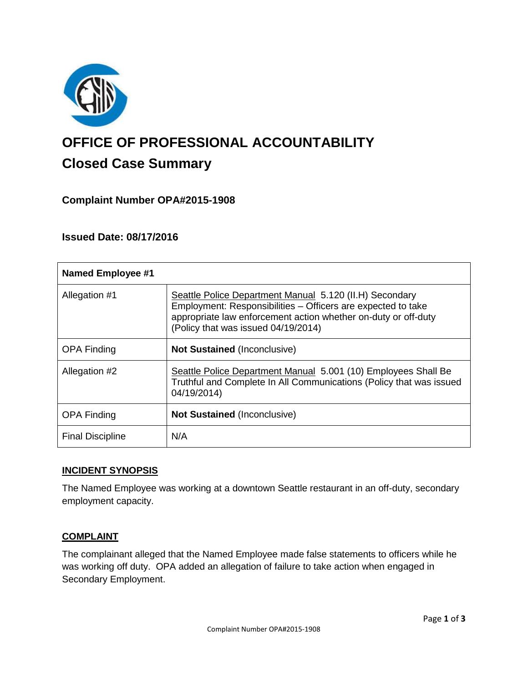

# **OFFICE OF PROFESSIONAL ACCOUNTABILITY Closed Case Summary**

## **Complaint Number OPA#2015-1908**

## **Issued Date: 08/17/2016**

| <b>Named Employee #1</b> |                                                                                                                                                                                                                                  |
|--------------------------|----------------------------------------------------------------------------------------------------------------------------------------------------------------------------------------------------------------------------------|
| Allegation #1            | Seattle Police Department Manual 5.120 (II.H) Secondary<br>Employment: Responsibilities - Officers are expected to take<br>appropriate law enforcement action whether on-duty or off-duty<br>(Policy that was issued 04/19/2014) |
| <b>OPA Finding</b>       | <b>Not Sustained (Inconclusive)</b>                                                                                                                                                                                              |
| Allegation #2            | Seattle Police Department Manual 5.001 (10) Employees Shall Be<br>Truthful and Complete In All Communications (Policy that was issued<br>04/19/2014)                                                                             |
| <b>OPA Finding</b>       | <b>Not Sustained (Inconclusive)</b>                                                                                                                                                                                              |
| <b>Final Discipline</b>  | N/A                                                                                                                                                                                                                              |

#### **INCIDENT SYNOPSIS**

The Named Employee was working at a downtown Seattle restaurant in an off-duty, secondary employment capacity.

#### **COMPLAINT**

The complainant alleged that the Named Employee made false statements to officers while he was working off duty. OPA added an allegation of failure to take action when engaged in Secondary Employment.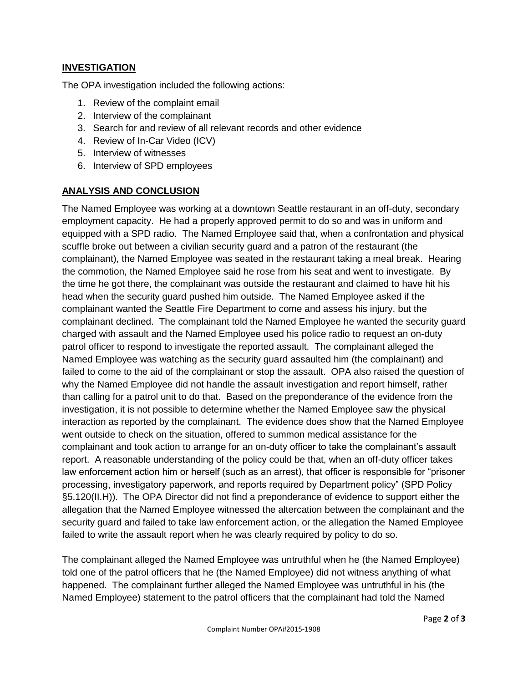### **INVESTIGATION**

The OPA investigation included the following actions:

- 1. Review of the complaint email
- 2. Interview of the complainant
- 3. Search for and review of all relevant records and other evidence
- 4. Review of In-Car Video (ICV)
- 5. Interview of witnesses
- 6. Interview of SPD employees

#### **ANALYSIS AND CONCLUSION**

The Named Employee was working at a downtown Seattle restaurant in an off-duty, secondary employment capacity. He had a properly approved permit to do so and was in uniform and equipped with a SPD radio. The Named Employee said that, when a confrontation and physical scuffle broke out between a civilian security guard and a patron of the restaurant (the complainant), the Named Employee was seated in the restaurant taking a meal break. Hearing the commotion, the Named Employee said he rose from his seat and went to investigate. By the time he got there, the complainant was outside the restaurant and claimed to have hit his head when the security guard pushed him outside. The Named Employee asked if the complainant wanted the Seattle Fire Department to come and assess his injury, but the complainant declined. The complainant told the Named Employee he wanted the security guard charged with assault and the Named Employee used his police radio to request an on-duty patrol officer to respond to investigate the reported assault. The complainant alleged the Named Employee was watching as the security guard assaulted him (the complainant) and failed to come to the aid of the complainant or stop the assault. OPA also raised the question of why the Named Employee did not handle the assault investigation and report himself, rather than calling for a patrol unit to do that. Based on the preponderance of the evidence from the investigation, it is not possible to determine whether the Named Employee saw the physical interaction as reported by the complainant. The evidence does show that the Named Employee went outside to check on the situation, offered to summon medical assistance for the complainant and took action to arrange for an on-duty officer to take the complainant's assault report. A reasonable understanding of the policy could be that, when an off-duty officer takes law enforcement action him or herself (such as an arrest), that officer is responsible for "prisoner processing, investigatory paperwork, and reports required by Department policy" (SPD Policy §5.120(II.H)). The OPA Director did not find a preponderance of evidence to support either the allegation that the Named Employee witnessed the altercation between the complainant and the security guard and failed to take law enforcement action, or the allegation the Named Employee failed to write the assault report when he was clearly required by policy to do so.

The complainant alleged the Named Employee was untruthful when he (the Named Employee) told one of the patrol officers that he (the Named Employee) did not witness anything of what happened. The complainant further alleged the Named Employee was untruthful in his (the Named Employee) statement to the patrol officers that the complainant had told the Named